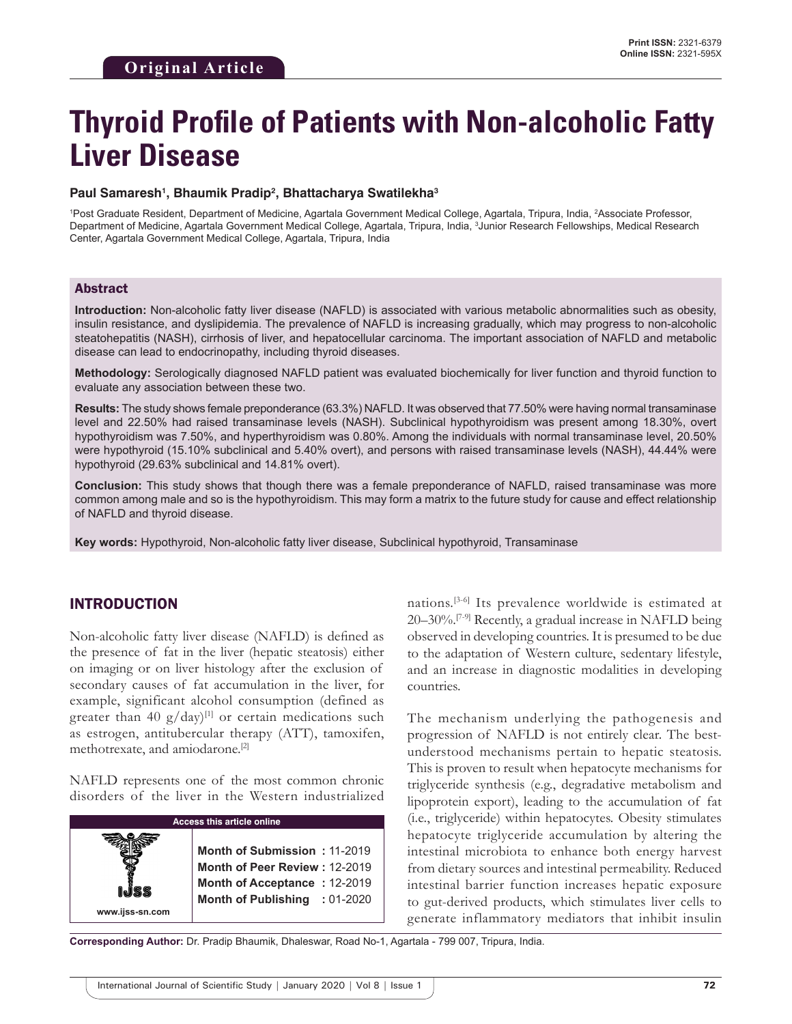# **Thyroid Profile of Patients with Non-alcoholic Fatty Liver Disease**

#### **Paul Samaresh1 , Bhaumik Pradip2 , Bhattacharya Swatilekha3**

1 Post Graduate Resident, Department of Medicine, Agartala Government Medical College, Agartala, Tripura, India, 2 Associate Professor, Department of Medicine, Agartala Government Medical College, Agartala, Tripura, India, 3 Junior Research Fellowships, Medical Research Center, Agartala Government Medical College, Agartala, Tripura, India

#### Abstract

**Introduction:** Non-alcoholic fatty liver disease (NAFLD) is associated with various metabolic abnormalities such as obesity, insulin resistance, and dyslipidemia. The prevalence of NAFLD is increasing gradually, which may progress to non-alcoholic steatohepatitis (NASH), cirrhosis of liver, and hepatocellular carcinoma. The important association of NAFLD and metabolic disease can lead to endocrinopathy, including thyroid diseases.

**Methodology:** Serologically diagnosed NAFLD patient was evaluated biochemically for liver function and thyroid function to evaluate any association between these two.

**Results:** The study shows female preponderance (63.3%) NAFLD. It was observed that 77.50% were having normal transaminase level and 22.50% had raised transaminase levels (NASH). Subclinical hypothyroidism was present among 18.30%, overt hypothyroidism was 7.50%, and hyperthyroidism was 0.80%. Among the individuals with normal transaminase level, 20.50% were hypothyroid (15.10% subclinical and 5.40% overt), and persons with raised transaminase levels (NASH), 44.44% were hypothyroid (29.63% subclinical and 14.81% overt).

**Conclusion:** This study shows that though there was a female preponderance of NAFLD, raised transaminase was more common among male and so is the hypothyroidism. This may form a matrix to the future study for cause and effect relationship of NAFLD and thyroid disease.

**Key words:** Hypothyroid, Non-alcoholic fatty liver disease, Subclinical hypothyroid, Transaminase

## INTRODUCTION

Non-alcoholic fatty liver disease (NAFLD) is defined as the presence of fat in the liver (hepatic steatosis) either on imaging or on liver histology after the exclusion of secondary causes of fat accumulation in the liver, for example, significant alcohol consumption (defined as greater than 40  $g/day$ <sup>[1]</sup> or certain medications such as estrogen, antitubercular therapy (ATT), tamoxifen, methotrexate, and amiodarone.[2]

NAFLD represents one of the most common chronic disorders of the liver in the Western industrialized

| <b>Access this article online</b> |                                                                                                                                |
|-----------------------------------|--------------------------------------------------------------------------------------------------------------------------------|
| <b>ISS</b><br>www.ijss-sn.com     | Month of Submission: 11-2019<br>Month of Peer Review: 12-2019<br>Month of Acceptance: 12-2019<br>Month of Publishing : 01-2020 |

nations.[3-6] Its prevalence worldwide is estimated at 20–30%.[7-9] Recently, a gradual increase in NAFLD being observed in developing countries. It is presumed to be due to the adaptation of Western culture, sedentary lifestyle, and an increase in diagnostic modalities in developing countries.

The mechanism underlying the pathogenesis and progression of NAFLD is not entirely clear. The bestunderstood mechanisms pertain to hepatic steatosis. This is proven to result when hepatocyte mechanisms for triglyceride synthesis (e.g., degradative metabolism and lipoprotein export), leading to the accumulation of fat (i.e., triglyceride) within hepatocytes. Obesity stimulates hepatocyte triglyceride accumulation by altering the intestinal microbiota to enhance both energy harvest from dietary sources and intestinal permeability. Reduced intestinal barrier function increases hepatic exposure to gut-derived products, which stimulates liver cells to generate inflammatory mediators that inhibit insulin

**Corresponding Author:** Dr. Pradip Bhaumik, Dhaleswar, Road No-1, Agartala - 799 007, Tripura, India.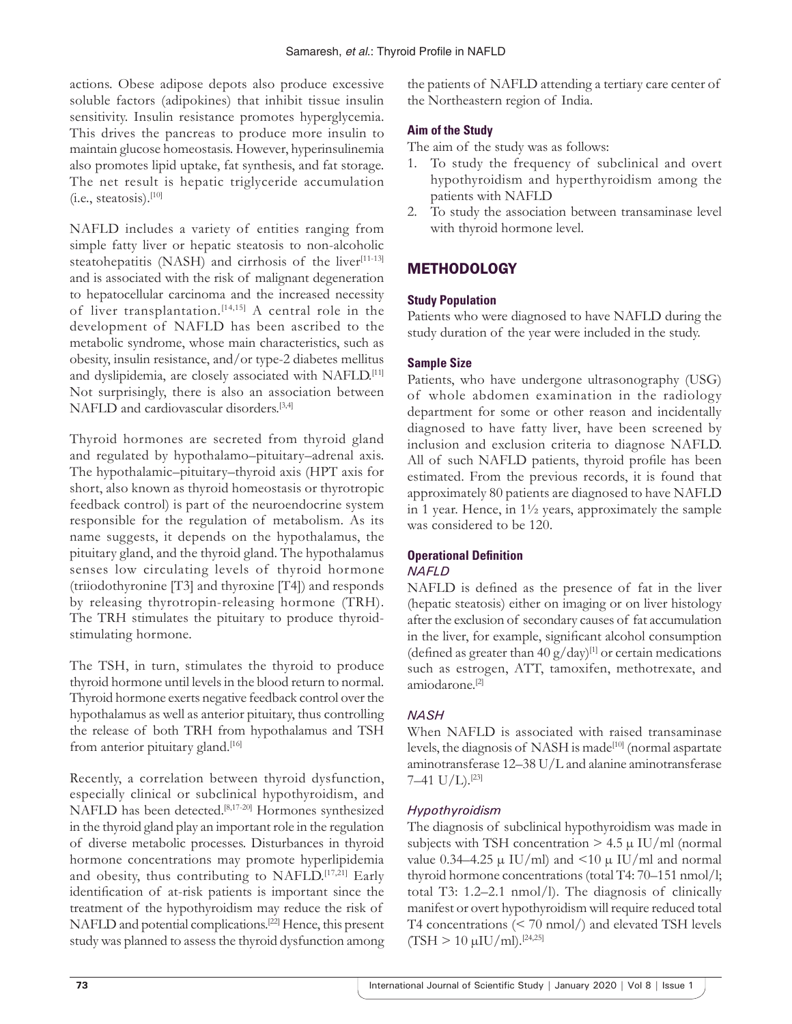actions. Obese adipose depots also produce excessive soluble factors (adipokines) that inhibit tissue insulin sensitivity. Insulin resistance promotes hyperglycemia. This drives the pancreas to produce more insulin to maintain glucose homeostasis. However, hyperinsulinemia also promotes lipid uptake, fat synthesis, and fat storage. The net result is hepatic triglyceride accumulation (i.e., steatosis).[10]

NAFLD includes a variety of entities ranging from simple fatty liver or hepatic steatosis to non-alcoholic steatohepatitis (NASH) and cirrhosis of the liver<sup>[11-13]</sup> and is associated with the risk of malignant degeneration to hepatocellular carcinoma and the increased necessity of liver transplantation.[14,15] A central role in the development of NAFLD has been ascribed to the metabolic syndrome, whose main characteristics, such as obesity, insulin resistance, and/or type-2 diabetes mellitus and dyslipidemia, are closely associated with NAFLD.[11] Not surprisingly, there is also an association between NAFLD and cardiovascular disorders.[3,4]

Thyroid hormones are secreted from thyroid gland and regulated by hypothalamo–pituitary–adrenal axis. The hypothalamic–pituitary–thyroid axis (HPT axis for short, also known as thyroid homeostasis or thyrotropic feedback control) is part of the neuroendocrine system responsible for the regulation of metabolism. As its name suggests, it depends on the hypothalamus, the pituitary gland, and the thyroid gland. The hypothalamus senses low circulating levels of thyroid hormone (triiodothyronine [T3] and thyroxine [T4]) and responds by releasing thyrotropin-releasing hormone (TRH). The TRH stimulates the pituitary to produce thyroidstimulating hormone.

The TSH, in turn, stimulates the thyroid to produce thyroid hormone until levels in the blood return to normal. Thyroid hormone exerts negative feedback control over the hypothalamus as well as anterior pituitary, thus controlling the release of both TRH from hypothalamus and TSH from anterior pituitary gland.<sup>[16]</sup>

Recently, a correlation between thyroid dysfunction, especially clinical or subclinical hypothyroidism, and NAFLD has been detected.[8,17-20] Hormones synthesized in the thyroid gland play an important role in the regulation of diverse metabolic processes. Disturbances in thyroid hormone concentrations may promote hyperlipidemia and obesity, thus contributing to NAFLD.[17,21] Early identification of at-risk patients is important since the treatment of the hypothyroidism may reduce the risk of NAFLD and potential complications.[22] Hence, this present study was planned to assess the thyroid dysfunction among

the patients of NAFLD attending a tertiary care center of the Northeastern region of India.

#### **Aim of the Study**

The aim of the study was as follows:

- 1. To study the frequency of subclinical and overt hypothyroidism and hyperthyroidism among the patients with NAFLD
- 2. To study the association between transaminase level with thyroid hormone level.

# **METHODOLOGY**

#### **Study Population**

Patients who were diagnosed to have NAFLD during the study duration of the year were included in the study.

#### **Sample Size**

Patients, who have undergone ultrasonography (USG) of whole abdomen examination in the radiology department for some or other reason and incidentally diagnosed to have fatty liver, have been screened by inclusion and exclusion criteria to diagnose NAFLD. All of such NAFLD patients, thyroid profile has been estimated. From the previous records, it is found that approximately 80 patients are diagnosed to have NAFLD in 1 year. Hence, in 1½ years, approximately the sample was considered to be 120.

## **Operational Definition**

#### *NAFLD*

NAFLD is defined as the presence of fat in the liver (hepatic steatosis) either on imaging or on liver histology after the exclusion of secondary causes of fat accumulation in the liver, for example, significant alcohol consumption (defined as greater than  $40 \text{ g/day}$ <sup>[1]</sup> or certain medications such as estrogen, ATT, tamoxifen, methotrexate, and amiodarone.[2]

## *NASH*

When NAFLD is associated with raised transaminase levels, the diagnosis of NASH is made<sup>[10]</sup> (normal aspartate aminotransferase 12–38 U/L and alanine aminotransferase 7–41  $U/L$ ).<sup>[23]</sup>

## *Hypothyroidism*

The diagnosis of subclinical hypothyroidism was made in subjects with TSH concentration  $> 4.5 \mu$  IU/ml (normal value 0.34–4.25  $\mu$  IU/ml) and <10  $\mu$  IU/ml and normal thyroid hormone concentrations (total T4: 70–151 nmol/l; total T3: 1.2–2.1 nmol/l). The diagnosis of clinically manifest or overt hypothyroidism will require reduced total T4 concentrations (< 70 nmol/) and elevated TSH levels  $(TSH > 10 \mu U/ml$ .<sup>[24,25]</sup>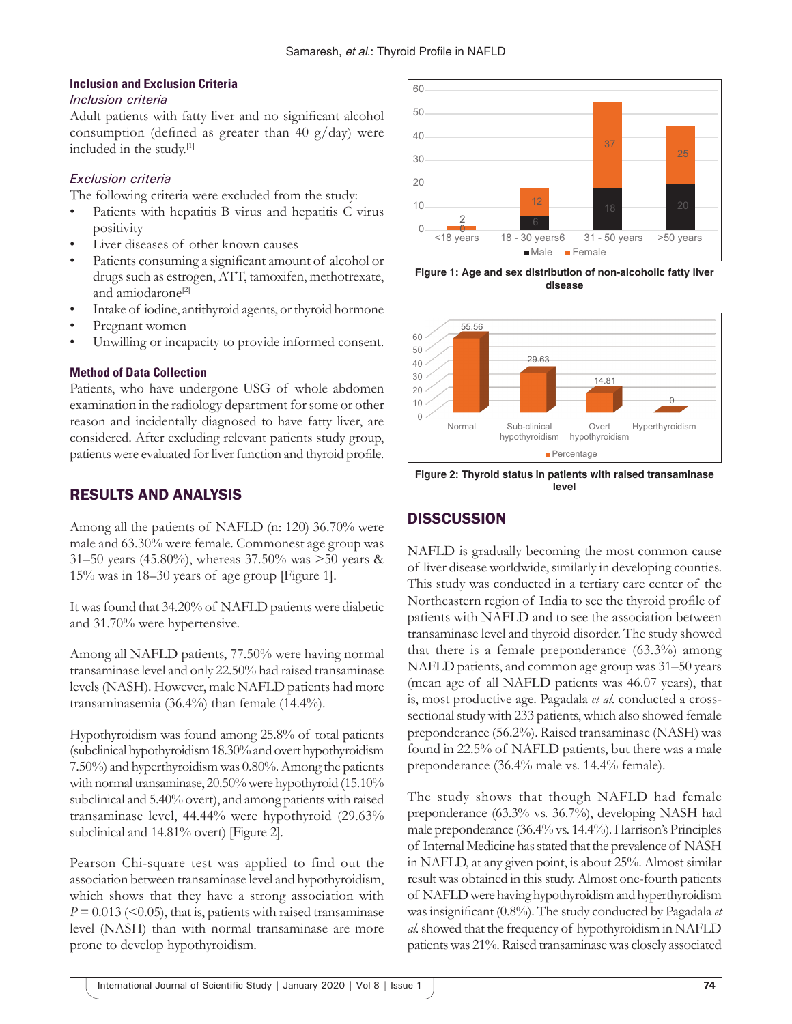#### **Inclusion and Exclusion Criteria**

#### *Inclusion criteria*

Adult patients with fatty liver and no significant alcohol consumption (defined as greater than 40  $g/day$ ) were included in the study.[1]

## *Exclusion criteria*

The following criteria were excluded from the study:

- Patients with hepatitis B virus and hepatitis C virus positivity
- Liver diseases of other known causes
- Patients consuming a significant amount of alcohol or drugs such as estrogen, ATT, tamoxifen, methotrexate, and amiodarone<sup>[2]</sup>
- Intake of iodine, antithyroid agents, or thyroid hormone
- Pregnant women
- Unwilling or incapacity to provide informed consent.

#### **Method of Data Collection**

Patients, who have undergone USG of whole abdomen examination in the radiology department for some or other reason and incidentally diagnosed to have fatty liver, are considered. After excluding relevant patients study group, patients were evaluated for liver function and thyroid profile.

# RESULTS AND ANALYSIS

Among all the patients of NAFLD (n: 120) 36.70% were male and 63.30% were female. Commonest age group was 31–50 years (45.80%), whereas 37.50% was >50 years & 15% was in 18–30 years of age group [Figure 1].

It was found that 34.20% of NAFLD patients were diabetic and 31.70% were hypertensive.

Among all NAFLD patients, 77.50% were having normal transaminase level and only 22.50% had raised transaminase levels (NASH). However, male NAFLD patients had more transaminasemia (36.4%) than female (14.4%).

Hypothyroidism was found among 25.8% of total patients (subclinical hypothyroidism 18.30% and overt hypothyroidism 7.50%) and hyperthyroidism was 0.80%. Among the patients with normal transaminase, 20.50% were hypothyroid (15.10% subclinical and 5.40% overt), and among patients with raised transaminase level, 44.44% were hypothyroid (29.63% subclinical and 14.81% overt) [Figure 2].

Pearson Chi-square test was applied to find out the association between transaminase level and hypothyroidism, which shows that they have a strong association with  $P = 0.013$  (<0.05), that is, patients with raised transaminase level (NASH) than with normal transaminase are more prone to develop hypothyroidism.



**Figure 1: Age and sex distribution of non-alcoholic fatty liver disease**



**Figure 2: Thyroid status in patients with raised transaminase level**

# **DISSCUSSION**

NAFLD is gradually becoming the most common cause of liver disease worldwide, similarly in developing counties. This study was conducted in a tertiary care center of the Northeastern region of India to see the thyroid profile of patients with NAFLD and to see the association between transaminase level and thyroid disorder. The study showed that there is a female preponderance (63.3%) among NAFLD patients, and common age group was 31–50 years (mean age of all NAFLD patients was 46.07 years), that is, most productive age. Pagadala *et al*. conducted a crosssectional study with 233 patients, which also showed female preponderance (56.2%). Raised transaminase (NASH) was found in 22.5% of NAFLD patients, but there was a male preponderance (36.4% male vs. 14.4% female).

The study shows that though NAFLD had female preponderance (63.3% vs. 36.7%), developing NASH had male preponderance (36.4% vs. 14.4%). Harrison's Principles of Internal Medicine has stated that the prevalence of NASH in NAFLD, at any given point, is about 25%. Almost similar result was obtained in this study. Almost one-fourth patients of NAFLD were having hypothyroidism and hyperthyroidism was insignificant (0.8%). The study conducted by Pagadala *et al*. showed that the frequency of hypothyroidism in NAFLD patients was 21%. Raised transaminase was closely associated